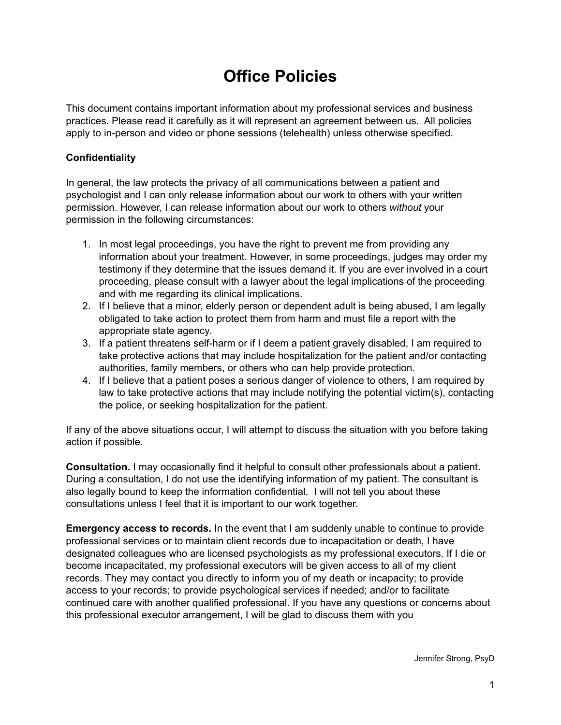## **Office Policies**

This document contains important information about my professional services and business practices. Please read it carefully as it will represent an agreement between us. All policies apply to in-person and video or phone sessions (telehealth) unless otherwise specified.

#### **Confidentiality**

In general, the law protects the privacy of all communications between a patient and psychologist and I can only release information about our work to others with your written permission. However, I can release information about our work to others *without* your permission in the following circumstances:

- 1. In most legal proceedings, you have the right to prevent me from providing any information about your treatment. However, in some proceedings, judges may order my testimony if they determine that the issues demand it. If you are ever involved in a court proceeding, please consult with a lawyer about the legal implications of the proceeding and with me regarding its clinical implications.
- 2. If I believe that a minor, elderly person or dependent adult is being abused, I am legally obligated to take action to protect them from harm and must file a report with the appropriate state agency.
- 3. If a patient threatens self-harm or if I deem a patient gravely disabled, I am required to take protective actions that may include hospitalization for the patient and/or contacting authorities, family members, or others who can help provide protection.
- 4. If I believe that a patient poses a serious danger of violence to others, I am required by law to take protective actions that may include notifying the potential victim(s), contacting the police, or seeking hospitalization for the patient.

If any of the above situations occur, I will attempt to discuss the situation with you before taking action if possible.

**Consultation.** I may occasionally find it helpful to consult other professionals about a patient. During a consultation, I do not use the identifying information of my patient. The consultant is also legally bound to keep the information confidential. I will not tell you about these consultations unless I feel that it is important to our work together.

**Emergency access to records.** In the event that I am suddenly unable to continue to provide professional services or to maintain client records due to incapacitation or death, I have designated colleagues who are licensed psychologists as my professional executors. If I die or become incapacitated, my professional executors will be given access to all of my client records. They may contact you directly to inform you of my death or incapacity; to provide access to your records; to provide psychological services if needed; and/or to facilitate continued care with another qualified professional. If you have any questions or concerns about this professional executor arrangement, I will be glad to discuss them with you

Jennifer Strong, PsyD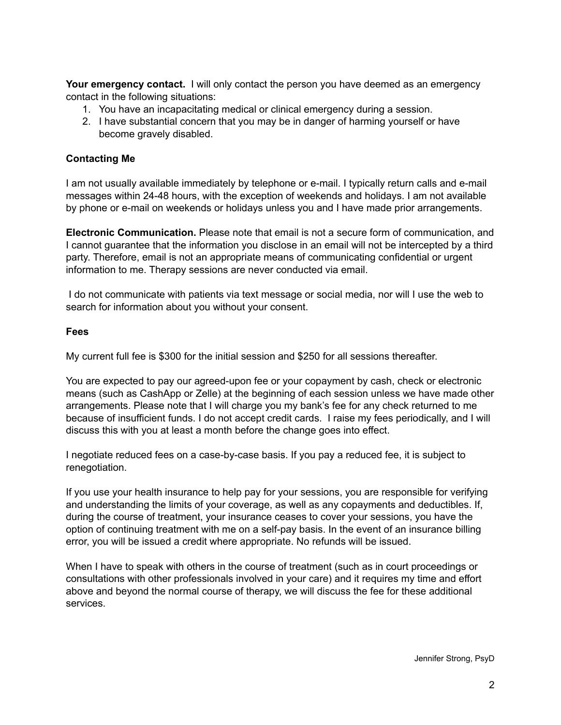**Your emergency contact.** I will only contact the person you have deemed as an emergency contact in the following situations:

- 1. You have an incapacitating medical or clinical emergency during a session.
- 2. I have substantial concern that you may be in danger of harming yourself or have become gravely disabled.

#### **Contacting Me**

I am not usually available immediately by telephone or e-mail. I typically return calls and e-mail messages within 24-48 hours, with the exception of weekends and holidays. I am not available by phone or e-mail on weekends or holidays unless you and I have made prior arrangements.

**Electronic Communication.** Please note that email is not a secure form of communication, and I cannot guarantee that the information you disclose in an email will not be intercepted by a third party. Therefore, email is not an appropriate means of communicating confidential or urgent information to me. Therapy sessions are never conducted via email.

I do not communicate with patients via text message or social media, nor will I use the web to search for information about you without your consent.

#### **Fees**

My current full fee is \$300 for the initial session and \$250 for all sessions thereafter.

You are expected to pay our agreed-upon fee or your copayment by cash, check or electronic means (such as CashApp or Zelle) at the beginning of each session unless we have made other arrangements. Please note that I will charge you my bank's fee for any check returned to me because of insufficient funds. I do not accept credit cards. I raise my fees periodically, and I will discuss this with you at least a month before the change goes into effect.

I negotiate reduced fees on a case-by-case basis. If you pay a reduced fee, it is subject to renegotiation.

If you use your health insurance to help pay for your sessions, you are responsible for verifying and understanding the limits of your coverage, as well as any copayments and deductibles. If, during the course of treatment, your insurance ceases to cover your sessions, you have the option of continuing treatment with me on a self-pay basis. In the event of an insurance billing error, you will be issued a credit where appropriate. No refunds will be issued.

When I have to speak with others in the course of treatment (such as in court proceedings or consultations with other professionals involved in your care) and it requires my time and effort above and beyond the normal course of therapy, we will discuss the fee for these additional services.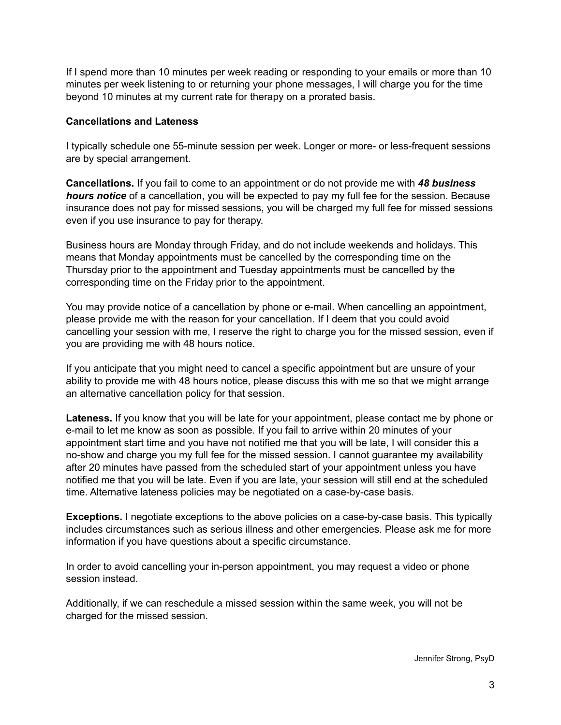If I spend more than 10 minutes per week reading or responding to your emails or more than 10 minutes per week listening to or returning your phone messages, I will charge you for the time beyond 10 minutes at my current rate for therapy on a prorated basis.

#### **Cancellations and Lateness**

I typically schedule one 55-minute session per week. Longer or more- or less-frequent sessions are by special arrangement.

**Cancellations.** If you fail to come to an appointment or do not provide me with *48 business hours notice* of a cancellation, you will be expected to pay my full fee for the session. Because insurance does not pay for missed sessions, you will be charged my full fee for missed sessions even if you use insurance to pay for therapy.

Business hours are Monday through Friday, and do not include weekends and holidays. This means that Monday appointments must be cancelled by the corresponding time on the Thursday prior to the appointment and Tuesday appointments must be cancelled by the corresponding time on the Friday prior to the appointment.

You may provide notice of a cancellation by phone or e-mail. When cancelling an appointment, please provide me with the reason for your cancellation. If I deem that you could avoid cancelling your session with me, I reserve the right to charge you for the missed session, even if you are providing me with 48 hours notice.

If you anticipate that you might need to cancel a specific appointment but are unsure of your ability to provide me with 48 hours notice, please discuss this with me so that we might arrange an alternative cancellation policy for that session.

**Lateness.** If you know that you will be late for your appointment, please contact me by phone or e-mail to let me know as soon as possible. If you fail to arrive within 20 minutes of your appointment start time and you have not notified me that you will be late, I will consider this a no-show and charge you my full fee for the missed session. I cannot guarantee my availability after 20 minutes have passed from the scheduled start of your appointment unless you have notified me that you will be late. Even if you are late, your session will still end at the scheduled time. Alternative lateness policies may be negotiated on a case-by-case basis.

**Exceptions.** I negotiate exceptions to the above policies on a case-by-case basis. This typically includes circumstances such as serious illness and other emergencies. Please ask me for more information if you have questions about a specific circumstance.

In order to avoid cancelling your in-person appointment, you may request a video or phone session instead.

Additionally, if we can reschedule a missed session within the same week, you will not be charged for the missed session.

Jennifer Strong, PsyD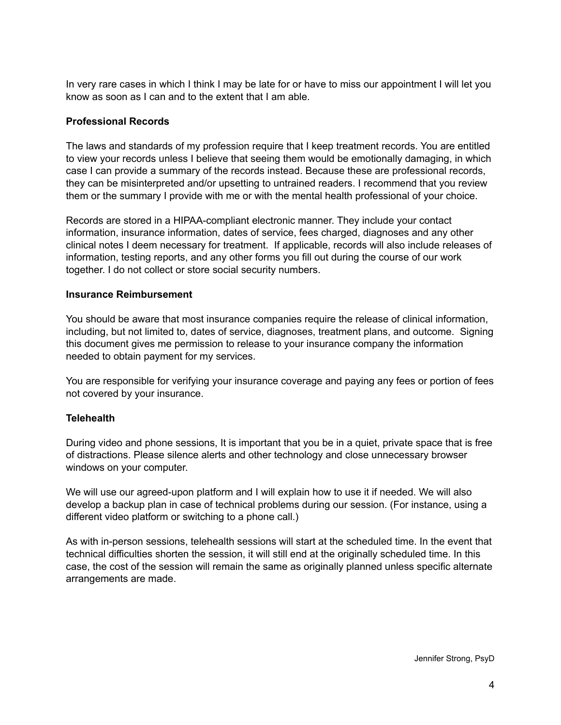In very rare cases in which I think I may be late for or have to miss our appointment I will let you know as soon as I can and to the extent that I am able.

#### **Professional Records**

The laws and standards of my profession require that I keep treatment records. You are entitled to view your records unless I believe that seeing them would be emotionally damaging, in which case I can provide a summary of the records instead. Because these are professional records, they can be misinterpreted and/or upsetting to untrained readers. I recommend that you review them or the summary I provide with me or with the mental health professional of your choice.

Records are stored in a HIPAA-compliant electronic manner. They include your contact information, insurance information, dates of service, fees charged, diagnoses and any other clinical notes I deem necessary for treatment. If applicable, records will also include releases of information, testing reports, and any other forms you fill out during the course of our work together. I do not collect or store social security numbers.

#### **Insurance Reimbursement**

You should be aware that most insurance companies require the release of clinical information, including, but not limited to, dates of service, diagnoses, treatment plans, and outcome. Signing this document gives me permission to release to your insurance company the information needed to obtain payment for my services.

You are responsible for verifying your insurance coverage and paying any fees or portion of fees not covered by your insurance.

#### **Telehealth**

During video and phone sessions, It is important that you be in a quiet, private space that is free of distractions. Please silence alerts and other technology and close unnecessary browser windows on your computer.

We will use our agreed-upon platform and I will explain how to use it if needed. We will also develop a backup plan in case of technical problems during our session. (For instance, using a different video platform or switching to a phone call.)

As with in-person sessions, telehealth sessions will start at the scheduled time. In the event that technical difficulties shorten the session, it will still end at the originally scheduled time. In this case, the cost of the session will remain the same as originally planned unless specific alternate arrangements are made.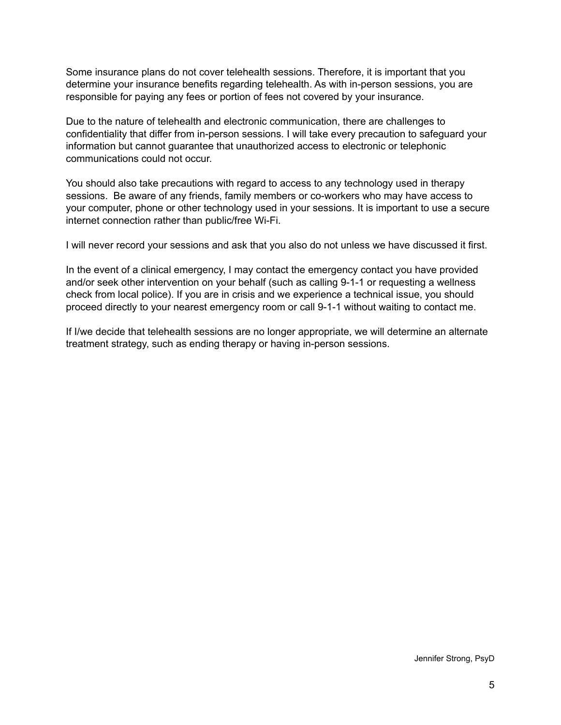Some insurance plans do not cover telehealth sessions. Therefore, it is important that you determine your insurance benefits regarding telehealth. As with in-person sessions, you are responsible for paying any fees or portion of fees not covered by your insurance.

Due to the nature of telehealth and electronic communication, there are challenges to confidentiality that differ from in-person sessions. I will take every precaution to safeguard your information but cannot guarantee that unauthorized access to electronic or telephonic communications could not occur.

You should also take precautions with regard to access to any technology used in therapy sessions. Be aware of any friends, family members or co-workers who may have access to your computer, phone or other technology used in your sessions. It is important to use a secure internet connection rather than public/free Wi-Fi.

I will never record your sessions and ask that you also do not unless we have discussed it first.

In the event of a clinical emergency, I may contact the emergency contact you have provided and/or seek other intervention on your behalf (such as calling 9-1-1 or requesting a wellness check from local police). If you are in crisis and we experience a technical issue, you should proceed directly to your nearest emergency room or call 9-1-1 without waiting to contact me.

If I/we decide that telehealth sessions are no longer appropriate, we will determine an alternate treatment strategy, such as ending therapy or having in-person sessions.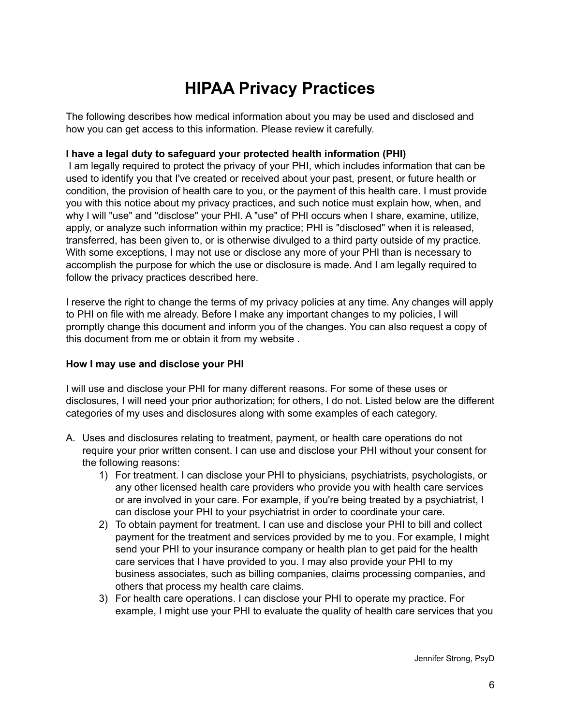# **HIPAA Privacy Practices**

The following describes how medical information about you may be used and disclosed and how you can get access to this information. Please review it carefully.

#### **I have a legal duty to safeguard your protected health information (PHI)**

I am legally required to protect the privacy of your PHI, which includes information that can be used to identify you that I've created or received about your past, present, or future health or condition, the provision of health care to you, or the payment of this health care. I must provide you with this notice about my privacy practices, and such notice must explain how, when, and why I will "use" and "disclose" your PHI. A "use" of PHI occurs when I share, examine, utilize, apply, or analyze such information within my practice; PHI is "disclosed" when it is released, transferred, has been given to, or is otherwise divulged to a third party outside of my practice. With some exceptions, I may not use or disclose any more of your PHI than is necessary to accomplish the purpose for which the use or disclosure is made. And I am legally required to follow the privacy practices described here.

I reserve the right to change the terms of my privacy policies at any time. Any changes will apply to PHI on file with me already. Before I make any important changes to my policies, I will promptly change this document and inform you of the changes. You can also request a copy of this document from me or obtain it from my website .

#### **How I may use and disclose your PHI**

I will use and disclose your PHI for many different reasons. For some of these uses or disclosures, I will need your prior authorization; for others, I do not. Listed below are the different categories of my uses and disclosures along with some examples of each category.

- A. Uses and disclosures relating to treatment, payment, or health care operations do not require your prior written consent. I can use and disclose your PHI without your consent for the following reasons:
	- 1) For treatment. I can disclose your PHI to physicians, psychiatrists, psychologists, or any other licensed health care providers who provide you with health care services or are involved in your care. For example, if you're being treated by a psychiatrist, I can disclose your PHI to your psychiatrist in order to coordinate your care.
	- 2) To obtain payment for treatment. I can use and disclose your PHI to bill and collect payment for the treatment and services provided by me to you. For example, I might send your PHI to your insurance company or health plan to get paid for the health care services that I have provided to you. I may also provide your PHI to my business associates, such as billing companies, claims processing companies, and others that process my health care claims.
	- 3) For health care operations. I can disclose your PHI to operate my practice. For example, I might use your PHI to evaluate the quality of health care services that you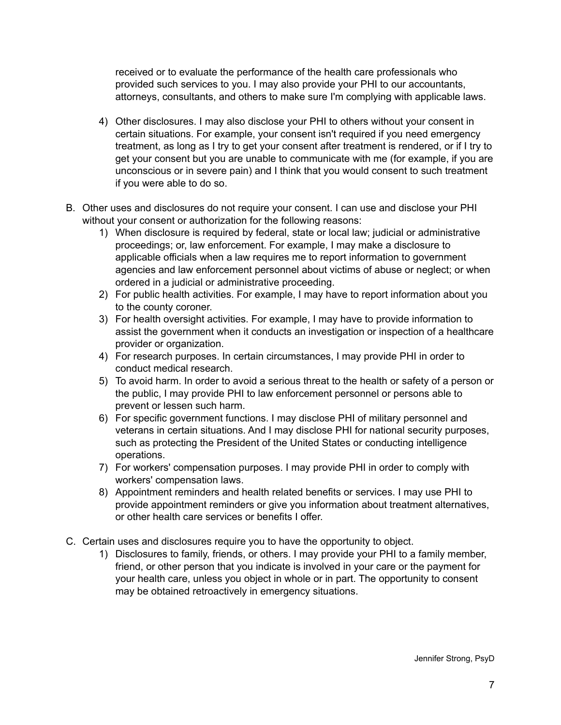received or to evaluate the performance of the health care professionals who provided such services to you. I may also provide your PHI to our accountants, attorneys, consultants, and others to make sure I'm complying with applicable laws.

- 4) Other disclosures. I may also disclose your PHI to others without your consent in certain situations. For example, your consent isn't required if you need emergency treatment, as long as I try to get your consent after treatment is rendered, or if I try to get your consent but you are unable to communicate with me (for example, if you are unconscious or in severe pain) and I think that you would consent to such treatment if you were able to do so.
- B. Other uses and disclosures do not require your consent. I can use and disclose your PHI without your consent or authorization for the following reasons:
	- 1) When disclosure is required by federal, state or local law; judicial or administrative proceedings; or, law enforcement. For example, I may make a disclosure to applicable officials when a law requires me to report information to government agencies and law enforcement personnel about victims of abuse or neglect; or when ordered in a judicial or administrative proceeding.
	- 2) For public health activities. For example, I may have to report information about you to the county coroner.
	- 3) For health oversight activities. For example, I may have to provide information to assist the government when it conducts an investigation or inspection of a healthcare provider or organization.
	- 4) For research purposes. In certain circumstances, I may provide PHI in order to conduct medical research.
	- 5) To avoid harm. In order to avoid a serious threat to the health or safety of a person or the public, I may provide PHI to law enforcement personnel or persons able to prevent or lessen such harm.
	- 6) For specific government functions. I may disclose PHI of military personnel and veterans in certain situations. And I may disclose PHI for national security purposes, such as protecting the President of the United States or conducting intelligence operations.
	- 7) For workers' compensation purposes. I may provide PHI in order to comply with workers' compensation laws.
	- 8) Appointment reminders and health related benefits or services. I may use PHI to provide appointment reminders or give you information about treatment alternatives, or other health care services or benefits I offer.
- C. Certain uses and disclosures require you to have the opportunity to object.
	- 1) Disclosures to family, friends, or others. I may provide your PHI to a family member, friend, or other person that you indicate is involved in your care or the payment for your health care, unless you object in whole or in part. The opportunity to consent may be obtained retroactively in emergency situations.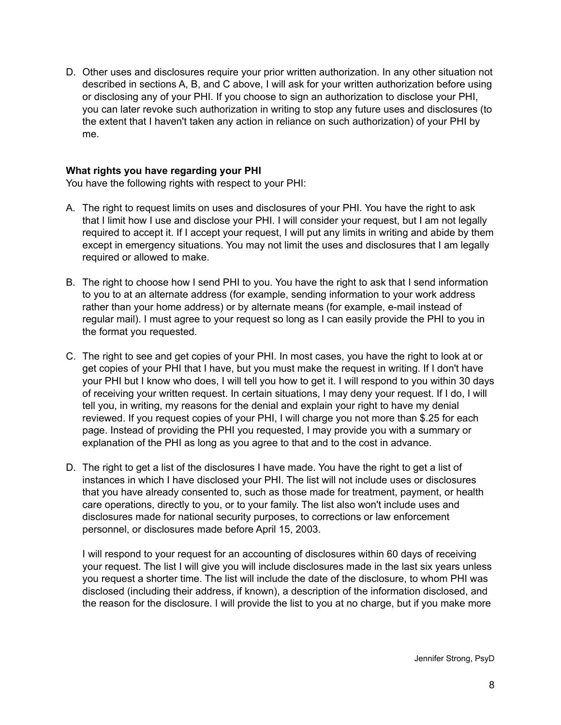D. Other uses and disclosures require your prior written authorization. In any other situation not described in sections A, B, and C above, I will ask for your written authorization before using or disclosing any of your PHI. If you choose to sign an authorization to disclose your PHI, you can later revoke such authorization in writing to stop any future uses and disclosures (to the extent that I haven't taken any action in reliance on such authorization) of your PHI by me.

#### **What rights you have regarding your PHI**

You have the following rights with respect to your PHI:

- A. The right to request limits on uses and disclosures of your PHI. You have the right to ask that I limit how I use and disclose your PHI. I will consider your request, but I am not legally required to accept it. If I accept your request, I will put any limits in writing and abide by them except in emergency situations. You may not limit the uses and disclosures that I am legally required or allowed to make.
- B. The right to choose how I send PHI to you. You have the right to ask that I send information to you to at an alternate address (for example, sending information to your work address rather than your home address) or by alternate means (for example, e-mail instead of regular mail). I must agree to your request so long as I can easily provide the PHI to you in the format you requested.
- C. The right to see and get copies of your PHI. In most cases, you have the right to look at or get copies of your PHI that I have, but you must make the request in writing. If I don't have your PHI but I know who does, I will tell you how to get it. I will respond to you within 30 days of receiving your written request. In certain situations, I may deny your request. If I do, I will tell you, in writing, my reasons for the denial and explain your right to have my denial reviewed. If you request copies of your PHI, I will charge you not more than \$.25 for each page. Instead of providing the PHI you requested, I may provide you with a summary or explanation of the PHI as long as you agree to that and to the cost in advance.
- D. The right to get a list of the disclosures I have made. You have the right to get a list of instances in which I have disclosed your PHI. The list will not include uses or disclosures that you have already consented to, such as those made for treatment, payment, or health care operations, directly to you, or to your family. The list also won't include uses and disclosures made for national security purposes, to corrections or law enforcement personnel, or disclosures made before April 15, 2003.

I will respond to your request for an accounting of disclosures within 60 days of receiving your request. The list I will give you will include disclosures made in the last six years unless you request a shorter time. The list will include the date of the disclosure, to whom PHI was disclosed (including their address, if known), a description of the information disclosed, and the reason for the disclosure. I will provide the list to you at no charge, but if you make more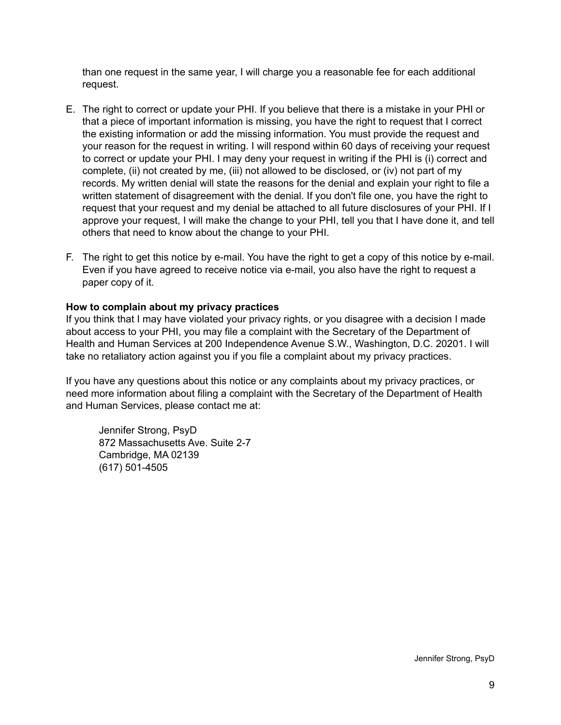than one request in the same year, I will charge you a reasonable fee for each additional request.

- E. The right to correct or update your PHI. If you believe that there is a mistake in your PHI or that a piece of important information is missing, you have the right to request that I correct the existing information or add the missing information. You must provide the request and your reason for the request in writing. I will respond within 60 days of receiving your request to correct or update your PHI. I may deny your request in writing if the PHI is (i) correct and complete, (ii) not created by me, (iii) not allowed to be disclosed, or (iv) not part of my records. My written denial will state the reasons for the denial and explain your right to file a written statement of disagreement with the denial. If you don't file one, you have the right to request that your request and my denial be attached to all future disclosures of your PHI. If I approve your request, I will make the change to your PHI, tell you that I have done it, and tell others that need to know about the change to your PHI.
- F. The right to get this notice by e-mail. You have the right to get a copy of this notice by e-mail. Even if you have agreed to receive notice via e-mail, you also have the right to request a paper copy of it.

#### **How to complain about my privacy practices**

If you think that I may have violated your privacy rights, or you disagree with a decision I made about access to your PHI, you may file a complaint with the Secretary of the Department of Health and Human Services at 200 Independence Avenue S.W., Washington, D.C. 20201. I will take no retaliatory action against you if you file a complaint about my privacy practices.

If you have any questions about this notice or any complaints about my privacy practices, or need more information about filing a complaint with the Secretary of the Department of Health and Human Services, please contact me at:

Jennifer Strong, PsyD 872 Massachusetts Ave. Suite 2-7 Cambridge, MA 02139 (617) 501-4505